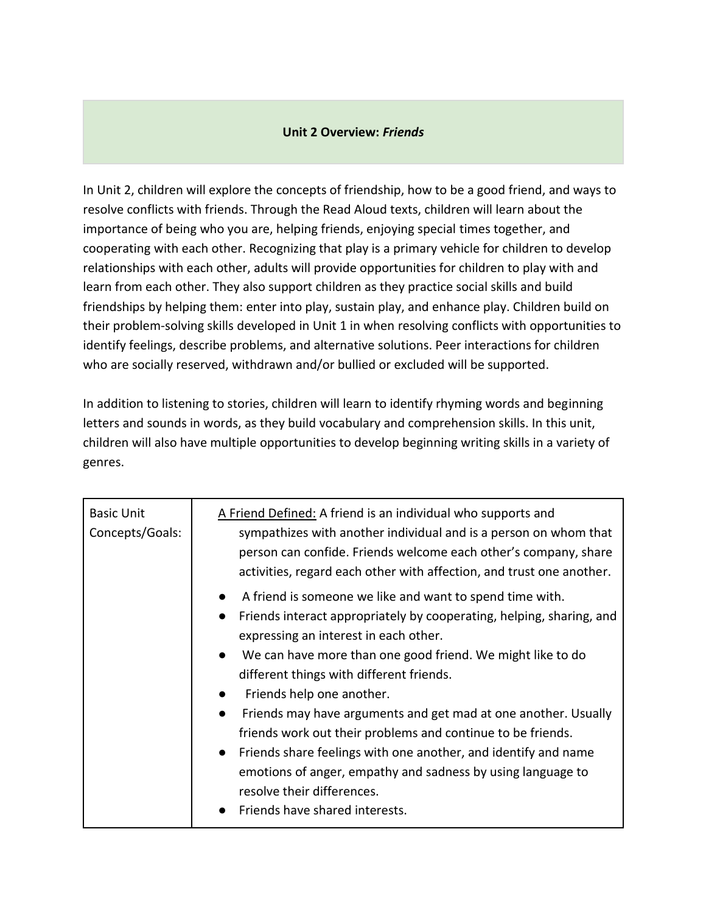## **Unit 2 Overview:** *Friends*

In Unit 2, children will explore the concepts of friendship, how to be a good friend, and ways to resolve conflicts with friends. Through the Read Aloud texts, children will learn about the importance of being who you are, helping friends, enjoying special times together, and cooperating with each other. Recognizing that play is a primary vehicle for children to develop relationships with each other, adults will provide opportunities for children to play with and learn from each other. They also support children as they practice social skills and build friendships by helping them: enter into play, sustain play, and enhance play. Children build on their problem-solving skills developed in Unit 1 in when resolving conflicts with opportunities to identify feelings, describe problems, and alternative solutions. Peer interactions for children who are socially reserved, withdrawn and/or bullied or excluded will be supported.

In addition to listening to stories, children will learn to identify rhyming words and beginning letters and sounds in words, as they build vocabulary and comprehension skills. In this unit, children will also have multiple opportunities to develop beginning writing skills in a variety of genres.

| <b>Basic Unit</b><br>Concepts/Goals: | A Friend Defined: A friend is an individual who supports and<br>sympathizes with another individual and is a person on whom that<br>person can confide. Friends welcome each other's company, share<br>activities, regard each other with affection, and trust one another.                                                                                                                                                                                                                                                                                                                                                                                                               |
|--------------------------------------|-------------------------------------------------------------------------------------------------------------------------------------------------------------------------------------------------------------------------------------------------------------------------------------------------------------------------------------------------------------------------------------------------------------------------------------------------------------------------------------------------------------------------------------------------------------------------------------------------------------------------------------------------------------------------------------------|
|                                      | A friend is someone we like and want to spend time with.<br>$\bullet$<br>Friends interact appropriately by cooperating, helping, sharing, and<br>expressing an interest in each other.<br>We can have more than one good friend. We might like to do<br>$\bullet$<br>different things with different friends.<br>Friends help one another.<br>Friends may have arguments and get mad at one another. Usually<br>friends work out their problems and continue to be friends.<br>Friends share feelings with one another, and identify and name<br>$\bullet$<br>emotions of anger, empathy and sadness by using language to<br>resolve their differences.<br>Friends have shared interests. |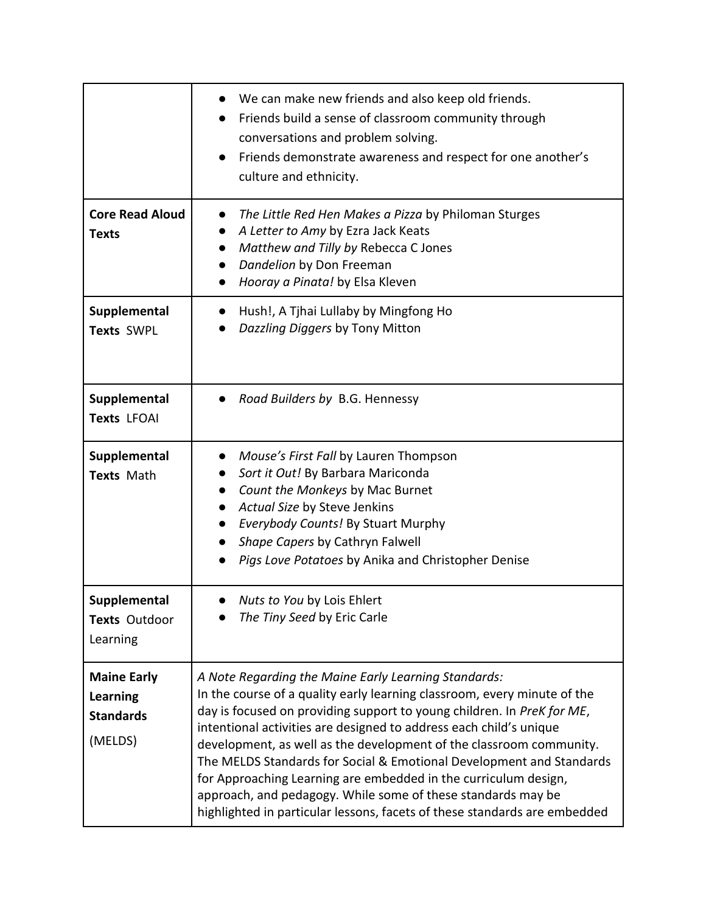|                                                                      | We can make new friends and also keep old friends.<br>Friends build a sense of classroom community through<br>conversations and problem solving.<br>Friends demonstrate awareness and respect for one another's<br>$\bullet$<br>culture and ethnicity.                                                                                                                                                                                                                                                                                                                                                                                          |
|----------------------------------------------------------------------|-------------------------------------------------------------------------------------------------------------------------------------------------------------------------------------------------------------------------------------------------------------------------------------------------------------------------------------------------------------------------------------------------------------------------------------------------------------------------------------------------------------------------------------------------------------------------------------------------------------------------------------------------|
| <b>Core Read Aloud</b><br><b>Texts</b>                               | The Little Red Hen Makes a Pizza by Philoman Sturges<br>A Letter to Amy by Ezra Jack Keats<br>Matthew and Tilly by Rebecca C Jones<br>$\bullet$<br>Dandelion by Don Freeman<br>Hooray a Pinata! by Elsa Kleven                                                                                                                                                                                                                                                                                                                                                                                                                                  |
| Supplemental<br>Texts SWPL                                           | Hush!, A Tjhai Lullaby by Mingfong Ho<br>Dazzling Diggers by Tony Mitton                                                                                                                                                                                                                                                                                                                                                                                                                                                                                                                                                                        |
| Supplemental<br><b>Texts LFOAI</b>                                   | Road Builders by B.G. Hennessy                                                                                                                                                                                                                                                                                                                                                                                                                                                                                                                                                                                                                  |
| Supplemental<br>Texts Math                                           | Mouse's First Fall by Lauren Thompson<br>Sort it Out! By Barbara Mariconda<br>Count the Monkeys by Mac Burnet<br>$\bullet$<br>Actual Size by Steve Jenkins<br>Everybody Counts! By Stuart Murphy<br>Shape Capers by Cathryn Falwell<br>Pigs Love Potatoes by Anika and Christopher Denise                                                                                                                                                                                                                                                                                                                                                       |
| Supplemental<br>Texts Outdoor<br>Learning                            | Nuts to You by Lois Ehlert<br>The Tiny Seed by Eric Carle                                                                                                                                                                                                                                                                                                                                                                                                                                                                                                                                                                                       |
| <b>Maine Early</b><br><b>Learning</b><br><b>Standards</b><br>(MELDS) | A Note Regarding the Maine Early Learning Standards:<br>In the course of a quality early learning classroom, every minute of the<br>day is focused on providing support to young children. In PreK for ME,<br>intentional activities are designed to address each child's unique<br>development, as well as the development of the classroom community.<br>The MELDS Standards for Social & Emotional Development and Standards<br>for Approaching Learning are embedded in the curriculum design,<br>approach, and pedagogy. While some of these standards may be<br>highlighted in particular lessons, facets of these standards are embedded |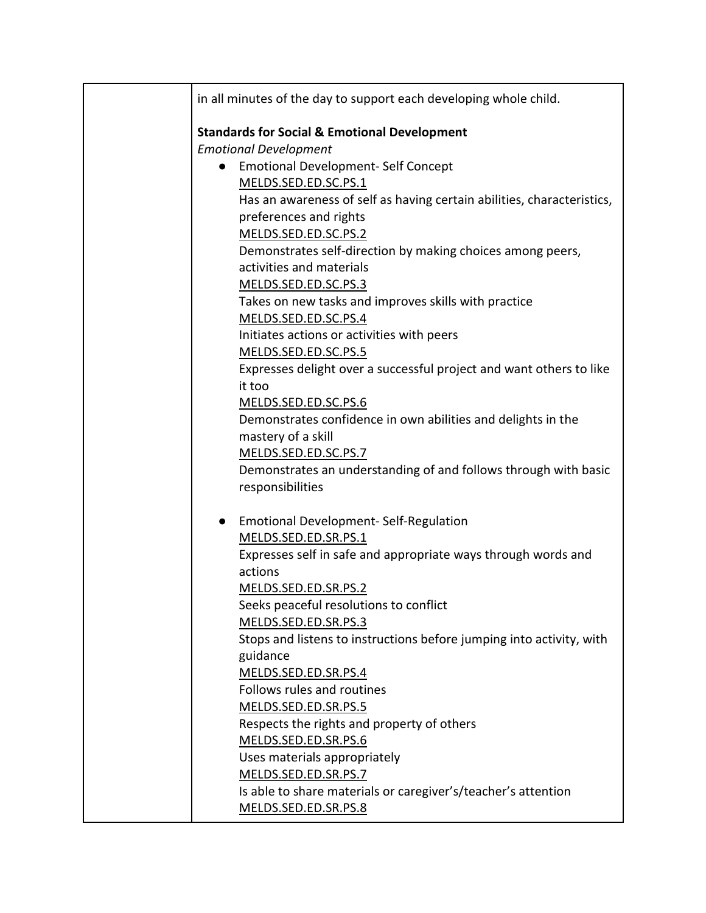| in all minutes of the day to support each developing whole child.      |
|------------------------------------------------------------------------|
| <b>Standards for Social &amp; Emotional Development</b>                |
| <b>Emotional Development</b>                                           |
| <b>Emotional Development- Self Concept</b>                             |
| MELDS.SED.ED.SC.PS.1                                                   |
| Has an awareness of self as having certain abilities, characteristics, |
| preferences and rights                                                 |
| MELDS.SED.ED.SC.PS.2                                                   |
| Demonstrates self-direction by making choices among peers,             |
| activities and materials                                               |
| MELDS.SED.ED.SC.PS.3                                                   |
| Takes on new tasks and improves skills with practice                   |
| MELDS.SED.ED.SC.PS.4                                                   |
| Initiates actions or activities with peers                             |
| MELDS.SED.ED.SC.PS.5                                                   |
| Expresses delight over a successful project and want others to like    |
| it too                                                                 |
| MELDS.SED.ED.SC.PS.6                                                   |
| Demonstrates confidence in own abilities and delights in the           |
| mastery of a skill                                                     |
| MELDS.SED.ED.SC.PS.7                                                   |
| Demonstrates an understanding of and follows through with basic        |
| responsibilities                                                       |
| <b>Emotional Development-Self-Regulation</b><br>$\bullet$              |
| MELDS.SED.ED.SR.PS.1                                                   |
| Expresses self in safe and appropriate ways through words and          |
| actions                                                                |
| MELDS.SED.ED.SR.PS.2                                                   |
| Seeks peaceful resolutions to conflict                                 |
| MELDS.SED.ED.SR.PS.3                                                   |
| Stops and listens to instructions before jumping into activity, with   |
| guidance                                                               |
| MELDS.SED.ED.SR.PS.4                                                   |
| Follows rules and routines                                             |
| MELDS.SED.ED.SR.PS.5                                                   |
| Respects the rights and property of others                             |
| MELDS.SED.ED.SR.PS.6                                                   |
| Uses materials appropriately                                           |
| MELDS.SED.ED.SR.PS.7                                                   |
| Is able to share materials or caregiver's/teacher's attention          |
| MELDS.SED.ED.SR.PS.8                                                   |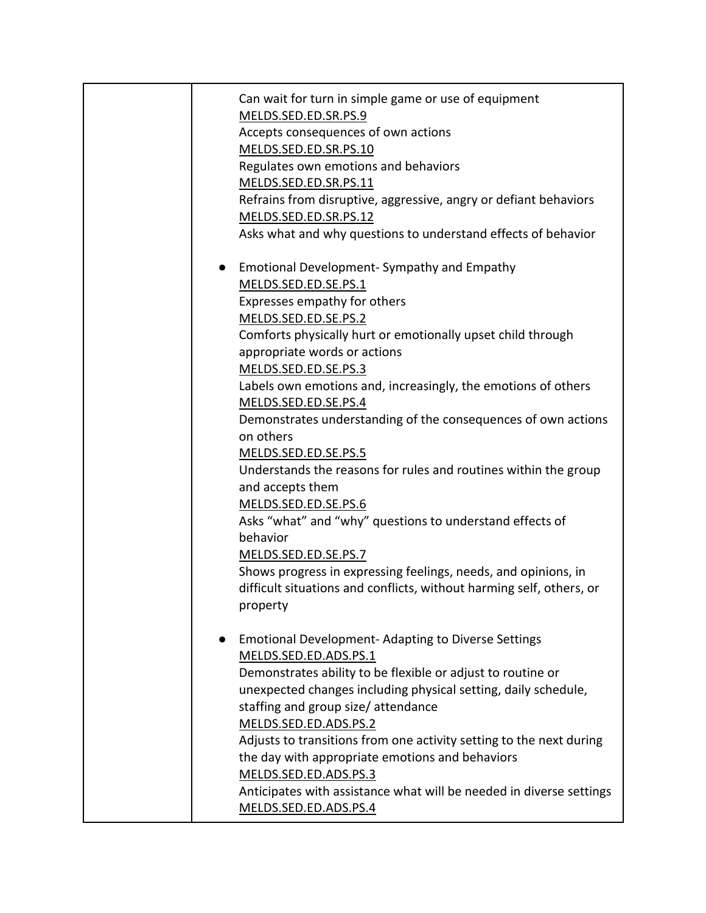| Can wait for turn in simple game or use of equipment                 |
|----------------------------------------------------------------------|
| MELDS.SED.ED.SR.PS.9                                                 |
| Accepts consequences of own actions                                  |
| MELDS.SED.ED.SR.PS.10                                                |
| Regulates own emotions and behaviors                                 |
| MELDS.SED.ED.SR.PS.11                                                |
| Refrains from disruptive, aggressive, angry or defiant behaviors     |
| MELDS.SED.ED.SR.PS.12                                                |
| Asks what and why questions to understand effects of behavior        |
| Emotional Development- Sympathy and Empathy<br>$\bullet$             |
| MELDS.SED.ED.SE.PS.1                                                 |
| Expresses empathy for others                                         |
| MELDS.SED.ED.SE.PS.2                                                 |
| Comforts physically hurt or emotionally upset child through          |
| appropriate words or actions                                         |
| MELDS.SED.ED.SE.PS.3                                                 |
| Labels own emotions and, increasingly, the emotions of others        |
| MELDS.SED.ED.SE.PS.4                                                 |
| Demonstrates understanding of the consequences of own actions        |
| on others                                                            |
| MELDS.SED.ED.SE.PS.5                                                 |
| Understands the reasons for rules and routines within the group      |
| and accepts them                                                     |
| MELDS.SED.ED.SE.PS.6                                                 |
| Asks "what" and "why" questions to understand effects of             |
| behavior                                                             |
| MELDS.SED.ED.SE.PS.7                                                 |
| Shows progress in expressing feelings, needs, and opinions, in       |
| difficult situations and conflicts, without harming self, others, or |
| property                                                             |
| <b>Emotional Development-Adapting to Diverse Settings</b>            |
| MELDS.SED.ED.ADS.PS.1                                                |
| Demonstrates ability to be flexible or adjust to routine or          |
| unexpected changes including physical setting, daily schedule,       |
| staffing and group size/attendance                                   |
| MELDS.SED.ED.ADS.PS.2                                                |
| Adjusts to transitions from one activity setting to the next during  |
| the day with appropriate emotions and behaviors                      |
| MELDS.SED.ED.ADS.PS.3                                                |
| Anticipates with assistance what will be needed in diverse settings  |
| MELDS.SED.ED.ADS.PS.4                                                |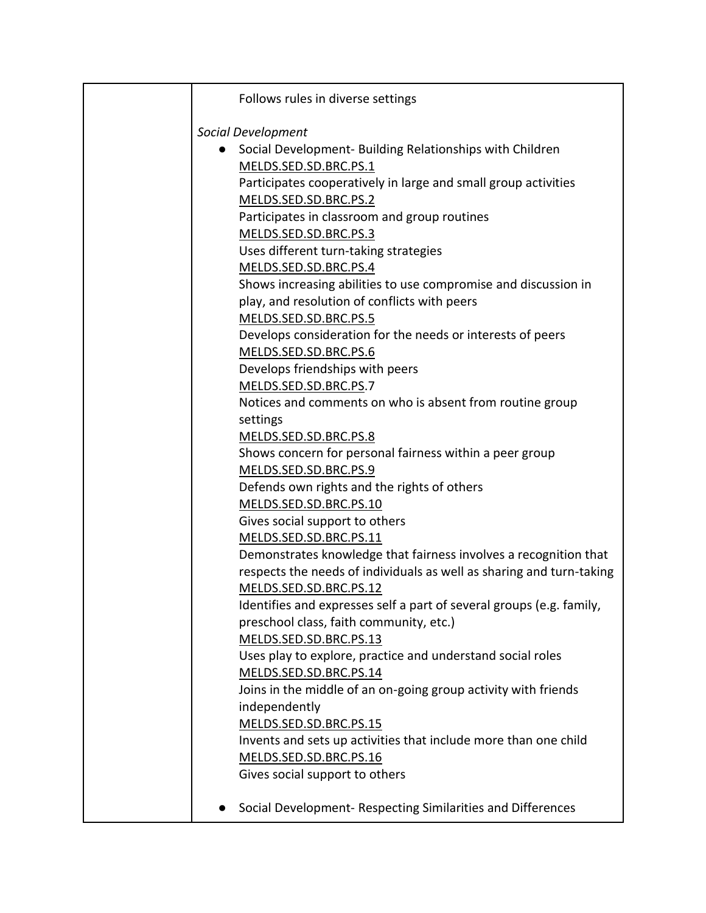| Follows rules in diverse settings                                                                              |
|----------------------------------------------------------------------------------------------------------------|
| Social Development                                                                                             |
|                                                                                                                |
| Social Development- Building Relationships with Children<br>$\bullet$                                          |
| MELDS.SED.SD.BRC.PS.1                                                                                          |
| Participates cooperatively in large and small group activities                                                 |
| MELDS.SED.SD.BRC.PS.2                                                                                          |
| Participates in classroom and group routines                                                                   |
| MELDS.SED.SD.BRC.PS.3<br>Uses different turn-taking strategies                                                 |
|                                                                                                                |
| MELDS.SED.SD.BRC.PS.4                                                                                          |
| Shows increasing abilities to use compromise and discussion in<br>play, and resolution of conflicts with peers |
| MELDS.SED.SD.BRC.PS.5                                                                                          |
| Develops consideration for the needs or interests of peers                                                     |
| MELDS.SED.SD.BRC.PS.6                                                                                          |
| Develops friendships with peers                                                                                |
| MELDS.SED.SD.BRC.PS.7                                                                                          |
| Notices and comments on who is absent from routine group                                                       |
| settings                                                                                                       |
| MELDS.SED.SD.BRC.PS.8                                                                                          |
| Shows concern for personal fairness within a peer group                                                        |
| MELDS.SED.SD.BRC.PS.9                                                                                          |
| Defends own rights and the rights of others                                                                    |
| MELDS.SED.SD.BRC.PS.10                                                                                         |
| Gives social support to others                                                                                 |
| MELDS.SED.SD.BRC.PS.11                                                                                         |
| Demonstrates knowledge that fairness involves a recognition that                                               |
| respects the needs of individuals as well as sharing and turn-taking                                           |
| MELDS.SED.SD.BRC.PS.12                                                                                         |
| Identifies and expresses self a part of several groups (e.g. family,                                           |
| preschool class, faith community, etc.)                                                                        |
| MELDS.SED.SD.BRC.PS.13                                                                                         |
| Uses play to explore, practice and understand social roles                                                     |
| MELDS.SED.SD.BRC.PS.14                                                                                         |
| Joins in the middle of an on-going group activity with friends                                                 |
| independently                                                                                                  |
| MELDS.SED.SD.BRC.PS.15                                                                                         |
| Invents and sets up activities that include more than one child                                                |
| MELDS.SED.SD.BRC.PS.16                                                                                         |
| Gives social support to others                                                                                 |
| Social Development- Respecting Similarities and Differences                                                    |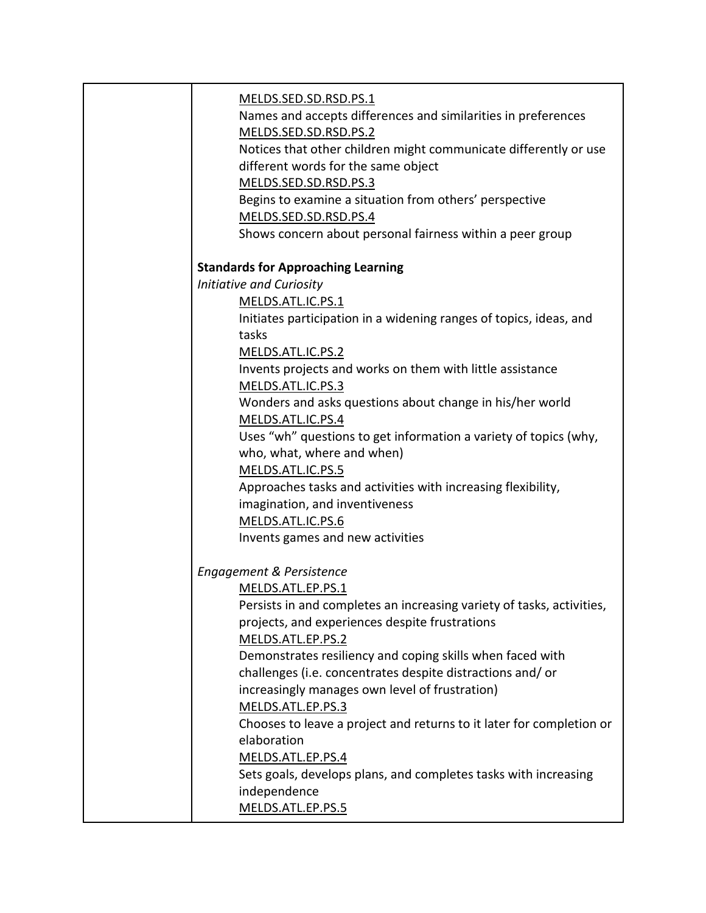| MELDS.SED.SD.RSD.PS.1                                                 |
|-----------------------------------------------------------------------|
| Names and accepts differences and similarities in preferences         |
| MELDS.SED.SD.RSD.PS.2                                                 |
| Notices that other children might communicate differently or use      |
| different words for the same object                                   |
| MELDS.SED.SD.RSD.PS.3                                                 |
| Begins to examine a situation from others' perspective                |
| MELDS.SED.SD.RSD.PS.4                                                 |
| Shows concern about personal fairness within a peer group             |
|                                                                       |
| <b>Standards for Approaching Learning</b>                             |
| <b>Initiative and Curiosity</b>                                       |
| MELDS.ATL.IC.PS.1                                                     |
| Initiates participation in a widening ranges of topics, ideas, and    |
| tasks                                                                 |
| MELDS.ATL.IC.PS.2                                                     |
| Invents projects and works on them with little assistance             |
| MELDS.ATL.IC.PS.3                                                     |
| Wonders and asks questions about change in his/her world              |
| MELDS.ATL.IC.PS.4                                                     |
| Uses "wh" questions to get information a variety of topics (why,      |
| who, what, where and when)                                            |
| MELDS.ATL.IC.PS.5                                                     |
| Approaches tasks and activities with increasing flexibility,          |
| imagination, and inventiveness                                        |
| MELDS.ATL.IC.PS.6                                                     |
| Invents games and new activities                                      |
| Engagement & Persistence                                              |
| MELDS.ATL.EP.PS.1                                                     |
| Persists in and completes an increasing variety of tasks, activities, |
| projects, and experiences despite frustrations                        |
| MELDS.ATL.EP.PS.2                                                     |
| Demonstrates resiliency and coping skills when faced with             |
| challenges (i.e. concentrates despite distractions and/or             |
| increasingly manages own level of frustration)                        |
| MELDS.ATL.EP.PS.3                                                     |
| Chooses to leave a project and returns to it later for completion or  |
| elaboration                                                           |
| MELDS.ATL.EP.PS.4                                                     |
| Sets goals, develops plans, and completes tasks with increasing       |
| independence                                                          |
| MELDS.ATL.EP.PS.5                                                     |
|                                                                       |